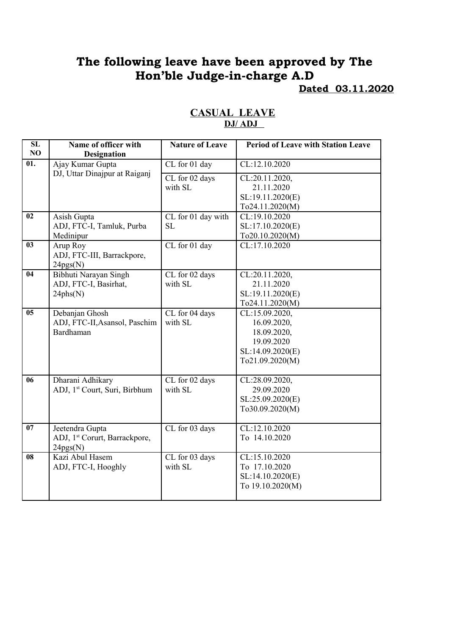# **The following leave have been approved by The Hon'ble Judge-in-charge A.D Dated 03.11.2020**

| $\overline{\text{SL}}$ | Name of officer with                      | <b>Nature of Leave</b> | <b>Period of Leave with Station Leave</b> |
|------------------------|-------------------------------------------|------------------------|-------------------------------------------|
| NO                     | <b>Designation</b>                        |                        |                                           |
| $\overline{01}$ .      | Ajay Kumar Gupta                          | CL for 01 day          | CL:12.10.2020                             |
|                        | DJ, Uttar Dinajpur at Raiganj             | CL for 02 days         | CL:20.11.2020,                            |
|                        |                                           | with SL                | 21.11.2020                                |
|                        |                                           |                        | SL:19.11.2020(E)                          |
|                        |                                           |                        | To24.11.2020(M)                           |
| $\overline{02}$        | Asish Gupta                               | CL for 01 day with     | CL:19.10.2020                             |
|                        | ADJ, FTC-I, Tamluk, Purba                 | <b>SL</b>              | SL:17.10.2020(E)                          |
|                        | Medinipur                                 |                        | To20.10.2020(M)                           |
| $\overline{03}$        | Arup Roy                                  | CL for 01 day          | CL:17.10.2020                             |
|                        | ADJ, FTC-III, Barrackpore,                |                        |                                           |
|                        | 24pgs(N)                                  |                        |                                           |
| $\overline{04}$        | Bibhuti Narayan Singh                     | CL for 02 days         | CL:20.11.2020,                            |
|                        | ADJ, FTC-I, Basirhat,                     | with SL                | 21.11.2020                                |
|                        | 24phs(N)                                  |                        | SL:19.11.2020(E)                          |
|                        |                                           |                        | To24.11.2020(M)                           |
| $\overline{05}$        | Debanjan Ghosh                            | CL for 04 days         | CL:15.09.2020,                            |
|                        | ADJ, FTC-II, Asansol, Paschim             | with SL                | 16.09.2020,                               |
|                        | Bardhaman                                 |                        | 18.09.2020,                               |
|                        |                                           |                        | 19.09.2020                                |
|                        |                                           |                        | SL:14.09.2020(E)                          |
|                        |                                           |                        | To21.09.2020(M)                           |
| $\overline{06}$        | Dharani Adhikary                          | CL for 02 days         | CL:28.09.2020,                            |
|                        | ADJ, 1 <sup>st</sup> Court, Suri, Birbhum | with SL                | 29.09.2020                                |
|                        |                                           |                        | SL:25.09.2020(E)                          |
|                        |                                           |                        | To30.09.2020(M)                           |
|                        |                                           |                        |                                           |
| $\overline{07}$        | Jeetendra Gupta                           | CL for 03 days         | CL:12.10.2020                             |
|                        | ADJ, 1st Corurt, Barrackpore,             |                        | To 14.10.2020                             |
|                        | 24pgs(N)                                  |                        |                                           |
| 08                     | Kazi Abul Hasem                           | CL for 03 days         | CL:15.10.2020                             |
|                        | ADJ, FTC-I, Hooghly                       | with SL                | To 17.10.2020                             |
|                        |                                           |                        | SL:14.10.2020(E)                          |
|                        |                                           |                        | To 19.10.2020(M)                          |
|                        |                                           |                        |                                           |

#### **CASUAL LEAVE DJ/ ADJ**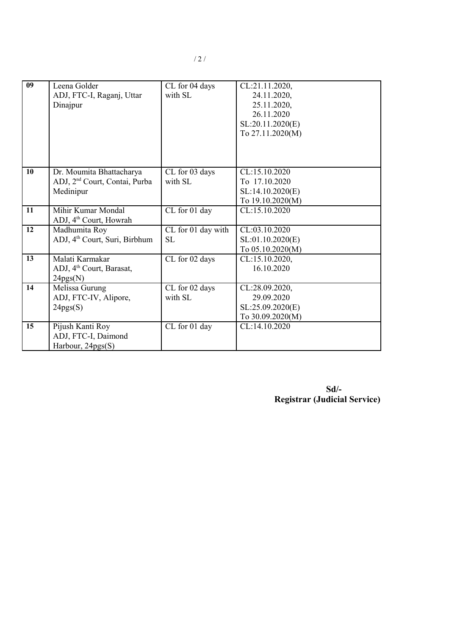| 09 | Leena Golder<br>ADJ, FTC-I, Raganj, Uttar<br>Dinajpur                              | CL for 04 days<br>with SL       | CL:21.11.2020,<br>24.11.2020,<br>25.11.2020,<br>26.11.2020<br>SL:20.11.2020(E)<br>To 27.11.2020(M) |
|----|------------------------------------------------------------------------------------|---------------------------------|----------------------------------------------------------------------------------------------------|
| 10 | Dr. Moumita Bhattacharya<br>ADJ, 2 <sup>nd</sup> Court, Contai, Purba<br>Medinipur | CL for 03 days<br>with SL       | CL:15.10.2020<br>To 17.10.2020<br>SL:14.10.2020(E)<br>To 19.10.2020(M)                             |
| 11 | Mihir Kumar Mondal<br>ADJ, 4 <sup>th</sup> Court, Howrah                           | CL for 01 day                   | CL:15.10.2020                                                                                      |
| 12 | Madhumita Roy<br>ADJ, 4 <sup>th</sup> Court, Suri, Birbhum                         | CL for 01 day with<br><b>SL</b> | CL:03.10.2020<br>SL:01.10.2020(E)<br>To 05.10.2020(M)                                              |
| 13 | Malati Karmakar<br>ADJ, 4 <sup>th</sup> Court, Barasat,<br>24pgs(N)                | CL for 02 days                  | CL:15.10.2020,<br>16.10.2020                                                                       |
| 14 | Melissa Gurung<br>ADJ, FTC-IV, Alipore,<br>24pgs(S)                                | CL for 02 days<br>with SL       | CL:28.09.2020,<br>29.09.2020<br>SL:25.09.2020(E)<br>To 30.09.2020(M)                               |
| 15 | Pijush Kanti Roy<br>ADJ, FTC-I, Daimond<br>Harbour, 24pgs(S)                       | CL for 01 day                   | CL:14.10.2020                                                                                      |

**Sd/- Registrar (Judicial Service)**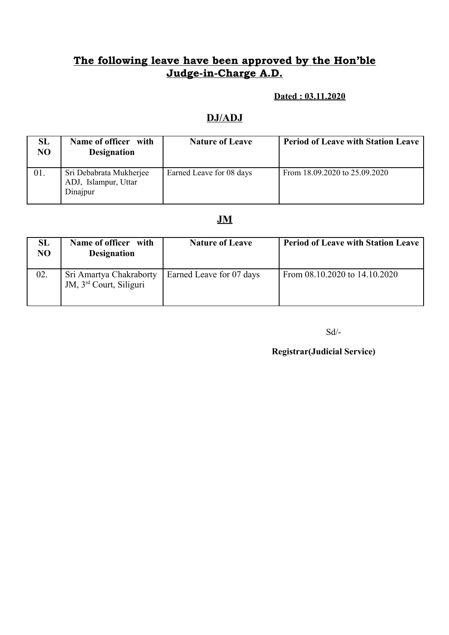## **The following leave have been approved by the Hon'ble Judge-in-Charge A.D.**

#### **Dated : 03.11.2020**

#### **DJ/ADJ**

| SL<br>NO | Name of officer with<br><b>Designation</b>                  | <b>Nature of Leave</b>   | <b>Period of Leave with Station Leave</b> |
|----------|-------------------------------------------------------------|--------------------------|-------------------------------------------|
| 01.      | Sri Debabrata Mukherjee<br>ADJ, Islampur, Uttar<br>Dinajpur | Earned Leave for 08 days | From $18.09.2020$ to $25.09.2020$         |

### **JM**

| SL<br>NO | Name of officer with<br><b>Designation</b>                     | <b>Nature of Leave</b>   | <b>Period of Leave with Station Leave</b> |
|----------|----------------------------------------------------------------|--------------------------|-------------------------------------------|
| 02.      | Sri Amartya Chakraborty<br>JM, 3 <sup>rd</sup> Court, Siliguri | Earned Leave for 07 days | From 08.10.2020 to 14.10.2020             |

Sd/-

**Registrar(Judicial Service)**